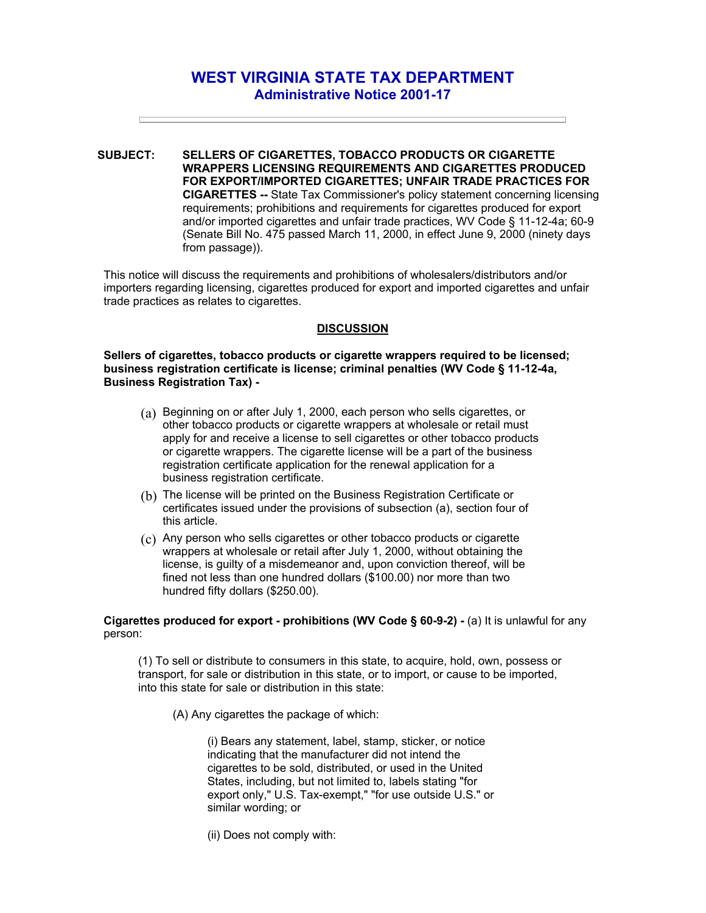## **WEST VIRGINIA STATE TAX DEPARTMENT Administrative Notice 2001-17**

**SUBJECT: SELLERS OF CIGARETTES, TOBACCO PRODUCTS OR CIGARETTE WRAPPERS LICENSING REQUIREMENTS AND CIGARETTES PRODUCED FOR EXPORT/IMPORTED CIGARETTES; UNFAIR TRADE PRACTICES FOR CIGARETTES --** State Tax Commissioner's policy statement concerning licensing requirements; prohibitions and requirements for cigarettes produced for export and/or imported cigarettes and unfair trade practices, WV Code § 11-12-4a; 60-9 (Senate Bill No. 475 passed March 11, 2000, in effect June 9, 2000 (ninety days from passage)).

This notice will discuss the requirements and prohibitions of wholesalers/distributors and/or importers regarding licensing, cigarettes produced for export and imported cigarettes and unfair trade practices as relates to cigarettes.

## **DISCUSSION**

**Sellers of cigarettes, tobacco products or cigarette wrappers required to be licensed; business registration certificate is license; criminal penalties (WV Code § 11-12-4a, Business Registration Tax) -** 

- (a) Beginning on or after July 1, 2000, each person who sells cigarettes, or other tobacco products or cigarette wrappers at wholesale or retail must apply for and receive a license to sell cigarettes or other tobacco products or cigarette wrappers. The cigarette license will be a part of the business registration certificate application for the renewal application for a business registration certificate.
- (b) The license will be printed on the Business Registration Certificate or certificates issued under the provisions of subsection (a), section four of this article.
- (c) Any person who sells cigarettes or other tobacco products or cigarette wrappers at wholesale or retail after July 1, 2000, without obtaining the license, is guilty of a misdemeanor and, upon conviction thereof, will be fined not less than one hundred dollars (\$100.00) nor more than two hundred fifty dollars (\$250.00).

**Cigarettes produced for export - prohibitions (WV Code § 60-9-2) -** (a) It is unlawful for any person:

(1) To sell or distribute to consumers in this state, to acquire, hold, own, possess or transport, for sale or distribution in this state, or to import, or cause to be imported, into this state for sale or distribution in this state:

(A) Any cigarettes the package of which:

(i) Bears any statement, label, stamp, sticker, or notice indicating that the manufacturer did not intend the cigarettes to be sold, distributed, or used in the United States, including, but not limited to, labels stating "for export only," U.S. Tax-exempt," "for use outside U.S." or similar wording; or

(ii) Does not comply with: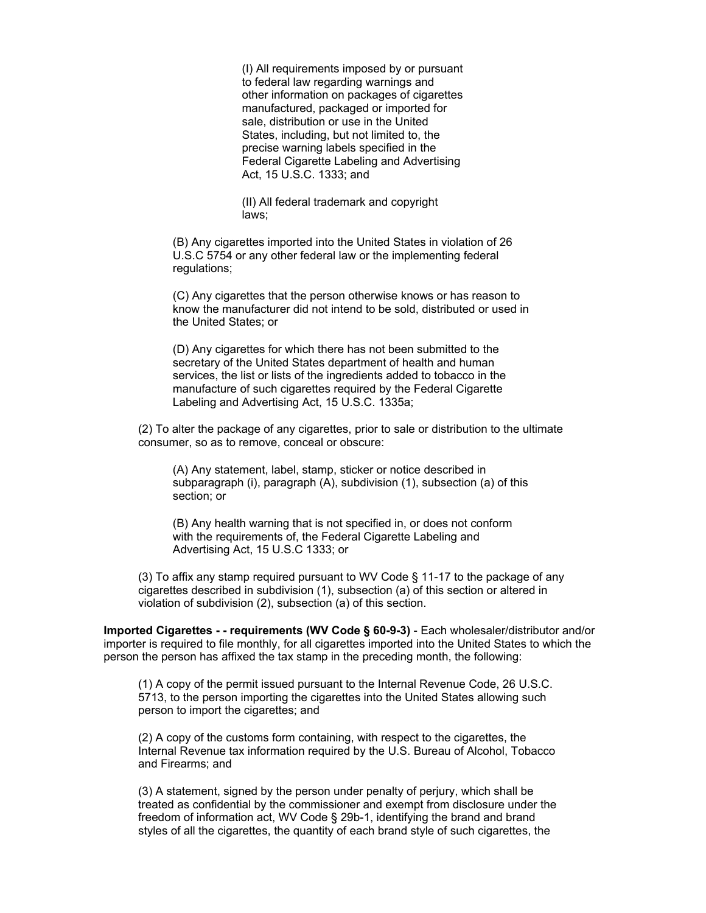(I) All requirements imposed by or pursuant to federal law regarding warnings and other information on packages of cigarettes manufactured, packaged or imported for sale, distribution or use in the United States, including, but not limited to, the precise warning labels specified in the Federal Cigarette Labeling and Advertising Act, 15 U.S.C. 1333; and

(II) All federal trademark and copyright laws;

(B) Any cigarettes imported into the United States in violation of 26 U.S.C 5754 or any other federal law or the implementing federal regulations;

(C) Any cigarettes that the person otherwise knows or has reason to know the manufacturer did not intend to be sold, distributed or used in the United States; or

(D) Any cigarettes for which there has not been submitted to the secretary of the United States department of health and human services, the list or lists of the ingredients added to tobacco in the manufacture of such cigarettes required by the Federal Cigarette Labeling and Advertising Act, 15 U.S.C. 1335a;

(2) To alter the package of any cigarettes, prior to sale or distribution to the ultimate consumer, so as to remove, conceal or obscure:

(A) Any statement, label, stamp, sticker or notice described in subparagraph (i), paragraph (A), subdivision (1), subsection (a) of this section; or

(B) Any health warning that is not specified in, or does not conform with the requirements of, the Federal Cigarette Labeling and Advertising Act, 15 U.S.C 1333; or

(3) To affix any stamp required pursuant to WV Code § 11-17 to the package of any cigarettes described in subdivision (1), subsection (a) of this section or altered in violation of subdivision (2), subsection (a) of this section.

**Imported Cigarettes - - requirements (WV Code § 60-9-3)** - Each wholesaler/distributor and/or importer is required to file monthly, for all cigarettes imported into the United States to which the person the person has affixed the tax stamp in the preceding month, the following:

(1) A copy of the permit issued pursuant to the Internal Revenue Code, 26 U.S.C. 5713, to the person importing the cigarettes into the United States allowing such person to import the cigarettes; and

(2) A copy of the customs form containing, with respect to the cigarettes, the Internal Revenue tax information required by the U.S. Bureau of Alcohol, Tobacco and Firearms; and

(3) A statement, signed by the person under penalty of perjury, which shall be treated as confidential by the commissioner and exempt from disclosure under the freedom of information act, WV Code § 29b-1, identifying the brand and brand styles of all the cigarettes, the quantity of each brand style of such cigarettes, the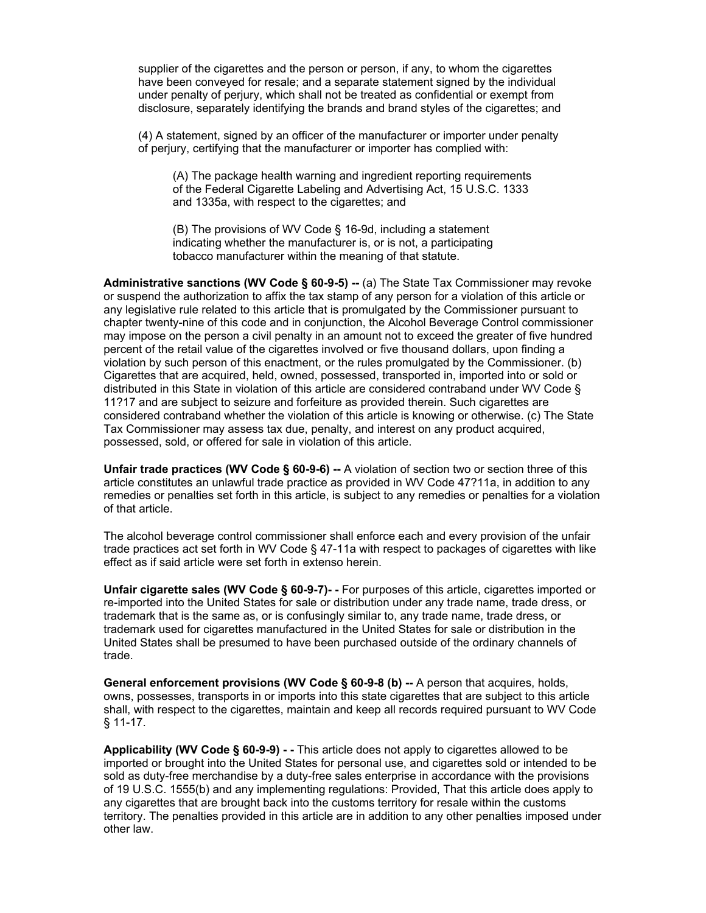supplier of the cigarettes and the person or person, if any, to whom the cigarettes have been conveyed for resale; and a separate statement signed by the individual under penalty of perjury, which shall not be treated as confidential or exempt from disclosure, separately identifying the brands and brand styles of the cigarettes; and

(4) A statement, signed by an officer of the manufacturer or importer under penalty of perjury, certifying that the manufacturer or importer has complied with:

(A) The package health warning and ingredient reporting requirements of the Federal Cigarette Labeling and Advertising Act, 15 U.S.C. 1333 and 1335a, with respect to the cigarettes; and

(B) The provisions of WV Code § 16-9d, including a statement indicating whether the manufacturer is, or is not, a participating tobacco manufacturer within the meaning of that statute.

**Administrative sanctions (WV Code § 60-9-5) --** (a) The State Tax Commissioner may revoke or suspend the authorization to affix the tax stamp of any person for a violation of this article or any legislative rule related to this article that is promulgated by the Commissioner pursuant to chapter twenty-nine of this code and in conjunction, the Alcohol Beverage Control commissioner may impose on the person a civil penalty in an amount not to exceed the greater of five hundred percent of the retail value of the cigarettes involved or five thousand dollars, upon finding a violation by such person of this enactment, or the rules promulgated by the Commissioner. (b) Cigarettes that are acquired, held, owned, possessed, transported in, imported into or sold or distributed in this State in violation of this article are considered contraband under WV Code § 11?17 and are subject to seizure and forfeiture as provided therein. Such cigarettes are considered contraband whether the violation of this article is knowing or otherwise. (c) The State Tax Commissioner may assess tax due, penalty, and interest on any product acquired, possessed, sold, or offered for sale in violation of this article.

**Unfair trade practices (WV Code § 60-9-6) --** A violation of section two or section three of this article constitutes an unlawful trade practice as provided in WV Code 47?11a, in addition to any remedies or penalties set forth in this article, is subject to any remedies or penalties for a violation of that article.

The alcohol beverage control commissioner shall enforce each and every provision of the unfair trade practices act set forth in WV Code § 47-11a with respect to packages of cigarettes with like effect as if said article were set forth in extenso herein.

**Unfair cigarette sales (WV Code § 60-9-7)- -** For purposes of this article, cigarettes imported or re-imported into the United States for sale or distribution under any trade name, trade dress, or trademark that is the same as, or is confusingly similar to, any trade name, trade dress, or trademark used for cigarettes manufactured in the United States for sale or distribution in the United States shall be presumed to have been purchased outside of the ordinary channels of trade.

**General enforcement provisions (WV Code § 60-9-8 (b) --** A person that acquires, holds, owns, possesses, transports in or imports into this state cigarettes that are subject to this article shall, with respect to the cigarettes, maintain and keep all records required pursuant to WV Code § 11-17.

**Applicability (WV Code § 60-9-9) - -** This article does not apply to cigarettes allowed to be imported or brought into the United States for personal use, and cigarettes sold or intended to be sold as duty-free merchandise by a duty-free sales enterprise in accordance with the provisions of 19 U.S.C. 1555(b) and any implementing regulations: Provided, That this article does apply to any cigarettes that are brought back into the customs territory for resale within the customs territory. The penalties provided in this article are in addition to any other penalties imposed under other law.